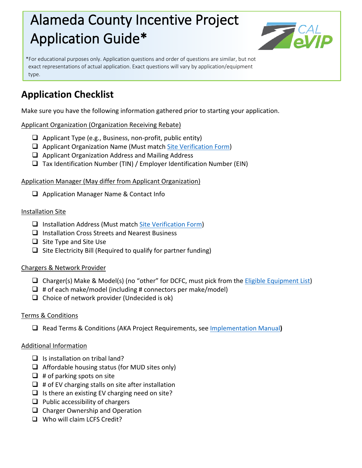# Alameda County Incentive Project Application Guide\*



\*For educational purposes only. Application questions and order of questions are similar, but not exact representations of actual application. Exact questions will vary by application/equipment type.

# **Application Checklist**

Make sure you have the following information gathered prior to starting your application.

# Applicant Organization (Organization Receiving Rebate)

- $\Box$  Applicant Type (e.g., Business, non-profit, public entity)
- $\Box$  Applicant Organization Name (Must match [Site Verification Form\)](https://calevip.org/sites/default/files/docs/alameda-county/site-verification-form.pdf)
- $\Box$  Applicant Organization Address and Mailing Address
- $\Box$  Tax Identification Number (TIN) / Employer Identification Number (EIN)

### Application Manager (May differ from Applicant Organization)

□ Application Manager Name & Contact Info

# Installation Site

- $\Box$  Installation Address (Must match [Site Verification Form\)](https://calevip.org/sites/default/files/docs/alameda-county/site-verification-form.pdf)
- $\Box$  Installation Cross Streets and Nearest Business
- $\Box$  Site Type and Site Use
- $\Box$  Site Electricity Bill (Required to qualify for partner funding)

# Chargers & Network Provider

- □ Charger(s) Make & Model(s) (no "other" for DCFC, must pick from the *Eligible Equipment List*)
- $\Box$  # of each make/model (including # connectors per make/model)
- $\Box$  Choice of network provider (Undecided is ok)

### Terms & Conditions

Read Terms & Conditions (AKA Project Requirements, see [Implementation Manual](https://calevip.org/sites/default/files/docs/alameda-county/implementation-manual.pdf)**)**

### Additional Information

- $\Box$  Is installation on tribal land?
- $\Box$  Affordable housing status (for MUD sites only)
- $\Box$  # of parking spots on site
- $\Box$  # of EV charging stalls on site after installation
- $\Box$  Is there an existing EV charging need on site?
- $\Box$  Public accessibility of chargers
- $\Box$  Charger Ownership and Operation
- Who will claim LCFS Credit?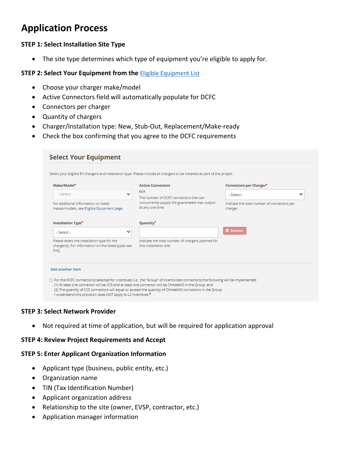# **Application Process**

#### **STEP 1: Select Installation Site Type**

• The site type determines which type of equipment you're eligible to apply for.

#### **STEP 2: Select Your Equipment from the <b>[Eligible Equipment List](https://calevip.org/sites/default/files/docs/alameda-county/ACIP_Eligible_Equipment.pdf)**

- Choose your charger make/model
- Active Connectors field will automatically populate for DCFC
- Connectors per charger
- Quantity of chargers
- Charger/Installation type: New, Stub-Out, Replacement/Make-ready
- Check the box confirming that you agree to the DCFC requirements

| Make/Model*                                                                                                |   | <b>Active Connectors</b>                                                                                           | Connectors per Charger*                                 |  |
|------------------------------------------------------------------------------------------------------------|---|--------------------------------------------------------------------------------------------------------------------|---------------------------------------------------------|--|
| $-$ Select $-$                                                                                             | v | N/A<br>The number of DCFC connectors that can<br>concurrently supply the guaranteed max output<br>at any one time. | - Select -                                              |  |
| For additional information on listed<br>makes/models, see Eligible Equipment page.                         |   |                                                                                                                    | Indicate the total number of connectors per<br>charger. |  |
| Installation Type <sup>*</sup>                                                                             |   | Quantity <sup>*</sup>                                                                                              |                                                         |  |
| - Select -                                                                                                 | v |                                                                                                                    | <b>III</b> Remove                                       |  |
| Please select the installation type for the<br>charger(s). For information on the listed types see<br>FAO. |   | Indicate the total number of chargers planned for<br>this installation site.                                       |                                                         |  |

#### **STEP 3: Select Network Provider**

• Not required at time of application, but will be required for application approval

#### **STEP 4: Review Project Requirements and Accept**

#### **STEP 5: Enter Applicant Organization Information**

- Applicant type (business, public entity, etc.)
- Organization name
- TIN (Tax Identification Number)
- Applicant organization address
- Relationship to the site (owner, EVSP, contractor, etc.)
- Application manager information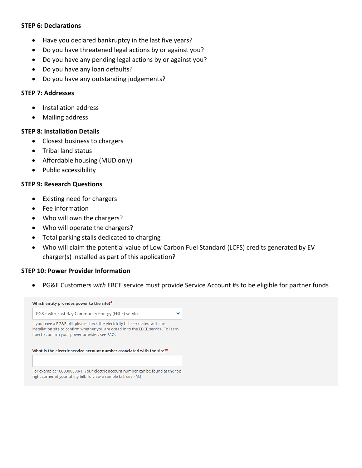#### **STEP 6: Declarations**

- Have you declared bankruptcy in the last five years?
- Do you have threatened legal actions by or against you?
- Do you have any pending legal actions by or against you?
- Do you have any loan defaults?
- Do you have any outstanding judgements?

#### **STEP 7: Addresses**

- Installation address
- Mailing address

#### **STEP 8: Installation Details**

- Closest business to chargers
- Tribal land status
- Affordable housing (MUD only)
- Public accessibility

#### **STEP 9: Research Questions**

- Existing need for chargers
- Fee information
- Who will own the chargers?
- Who will operate the chargers?
- Total parking stalls dedicated to charging
- Who will claim the potential value of Low Carbon Fuel Standard (LCFS) credits generated by EV charger(s) installed as part of this application?

#### **STEP 10: Power Provider Information**

• PG&E Customers *with* EBCE service must provide Service Account #s to be eligible for partner funds